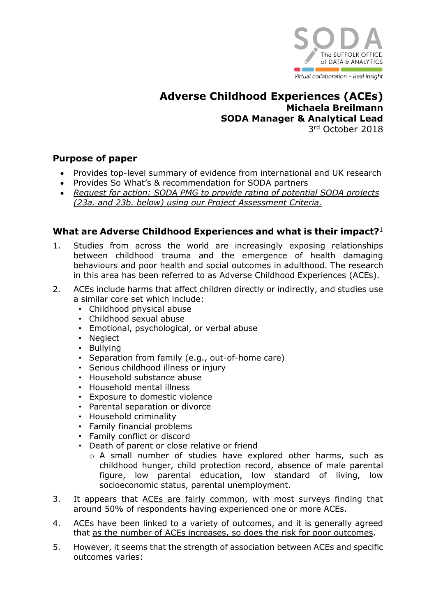

**Adverse Childhood Experiences (ACEs) Michaela Breilmann SODA Manager & Analytical Lead** 3 rd October 2018

### **Purpose of paper**

- Provides top-level summary of evidence from international and UK research
- Provides So What's & recommendation for SODA partners
- *Request for action: SODA PMG to provide rating of potential SODA projects (23a. and 23b. below) using our Project Assessment Criteria.*

## **What are Adverse Childhood Experiences and what is their impact?**<sup>1</sup>

- 1. Studies from across the world are increasingly exposing relationships between childhood trauma and the emergence of health damaging behaviours and poor health and social outcomes in adulthood. The research in this area has been referred to as Adverse Childhood Experiences (ACEs).
- 2. ACEs include harms that affect children directly or indirectly, and studies use a similar core set which include:
	- Childhood physical abuse
	- Childhood sexual abuse
	- Emotional, psychological, or verbal abuse
	- Neglect
	- Bullying
	- Separation from family (e.g., out-of-home care)
	- Serious childhood illness or injury
	- Household substance abuse
	- Household mental illness
	- Exposure to domestic violence
	- Parental separation or divorce
	- Household criminality
	- Family financial problems
	- Family conflict or discord
	- Death of parent or close relative or friend
		- o A small number of studies have explored other harms, such as childhood hunger, child protection record, absence of male parental figure, low parental education, low standard of living, low socioeconomic status, parental unemployment.
- 3. It appears that ACEs are fairly common, with most surveys finding that around 50% of respondents having experienced one or more ACEs.
- 4. ACEs have been linked to a variety of outcomes, and it is generally agreed that as the number of ACEs increases, so does the risk for poor outcomes.
- 5. However, it seems that the strength of association between ACEs and specific outcomes varies: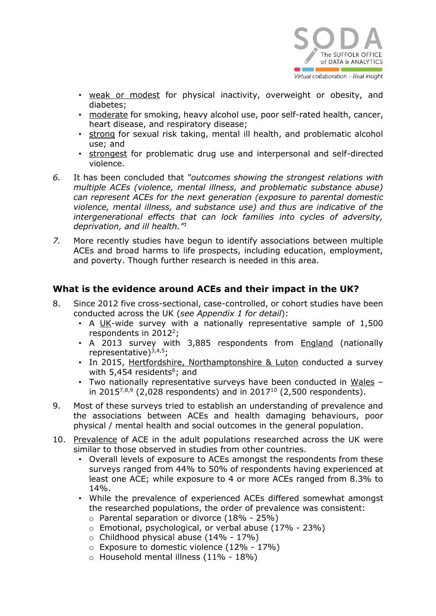

- weak or modest for physical inactivity, overweight or obesity, and diabetes;
- moderate for smoking, heavy alcohol use, poor self-rated health, cancer, heart disease, and respiratory disease;
- strong for sexual risk taking, mental ill health, and problematic alcohol use; and
- strongest for problematic drug use and interpersonal and self-directed violence.
- *6.* It has been concluded that *"outcomes showing the strongest relations with multiple ACEs (violence, mental illness, and problematic substance abuse) can represent ACEs for the next generation (exposure to parental domestic violence, mental illness, and substance use) and thus are indicative of the intergenerational effects that can lock families into cycles of adversity, deprivation, and ill health."<sup>1</sup>*
- *7.* More recently studies have begun to identify associations between multiple ACEs and broad harms to life prospects, including education, employment, and poverty. Though further research is needed in this area.

#### **What is the evidence around ACEs and their impact in the UK?**

- 8. Since 2012 five cross-sectional, case-controlled, or cohort studies have been conducted across the UK (*see Appendix 1 for detail*):
	- A UK-wide survey with a nationally representative sample of 1,500 respondents in 2012<sup>2</sup>;
	- A 2013 survey with 3,885 respondents from England (nationally representative) $3,4,5$ ;
	- In 2015, Hertfordshire, Northamptonshire & Luton conducted a survey with 5,454 residents<sup>6</sup>; and
	- Two nationally representative surveys have been conducted in Wales in 2015 $^{7,8,9}$  (2,028 respondents) and in 2017<sup>10</sup> (2,500 respondents).
- 9. Most of these surveys tried to establish an understanding of prevalence and the associations between ACEs and health damaging behaviours, poor physical / mental health and social outcomes in the general population.
- 10. Prevalence of ACE in the adult populations researched across the UK were similar to those observed in studies from other countries.
	- Overall levels of exposure to ACEs amongst the respondents from these surveys ranged from 44% to 50% of respondents having experienced at least one ACE; while exposure to 4 or more ACEs ranged from 8.3% to 14%.
	- While the prevalence of experienced ACEs differed somewhat amongst the researched populations, the order of prevalence was consistent:
		- o Parental separation or divorce (18% 25%)
		- o Emotional, psychological, or verbal abuse (17% 23%)
		- $\circ$  Childhood physical abuse (14% 17%)
		- o Exposure to domestic violence (12% 17%)
		- o Household mental illness (11% 18%)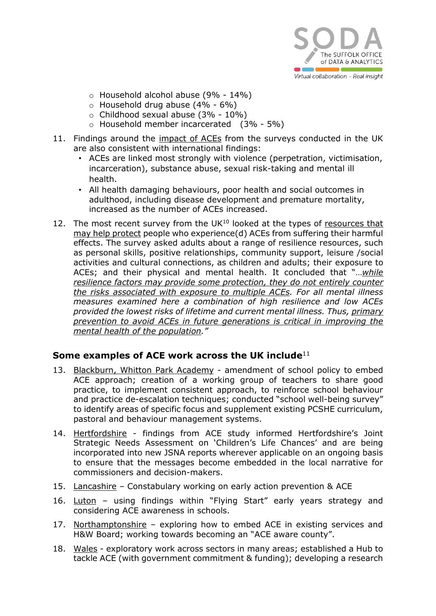

- o Household alcohol abuse (9% 14%)
- $\circ$  Household drug abuse (4% 6%)
- o Childhood sexual abuse (3% 10%)
- o Household member incarcerated (3% 5%)
- 11. Findings around the impact of ACEs from the surveys conducted in the UK are also consistent with international findings:
	- ACEs are linked most strongly with violence (perpetration, victimisation, incarceration), substance abuse, sexual risk-taking and mental ill health.
	- All health damaging behaviours, poor health and social outcomes in adulthood, including disease development and premature mortality, increased as the number of ACEs increased.
- 12. The most recent survey from the  $UK^{10}$  looked at the types of resources that may help protect people who experience(d) ACEs from suffering their harmful effects. The survey asked adults about a range of resilience resources, such as personal skills, positive relationships, community support, leisure /social activities and cultural connections, as children and adults; their exposure to ACEs; and their physical and mental health. It concluded that "…*while resilience factors may provide some protection, they do not entirely counter the risks associated with exposure to multiple ACEs. For all mental illness measures examined here a combination of high resilience and low ACEs provided the lowest risks of lifetime and current mental illness. Thus, primary prevention to avoid ACEs in future generations is critical in improving the mental health of the population."*

#### **Some examples of ACE work across the UK include**<sup>11</sup>

- 13. Blackburn, Whitton Park Academy amendment of school policy to embed ACE approach; creation of a working group of teachers to share good practice, to implement consistent approach, to reinforce school behaviour and practice de-escalation techniques; conducted "school well-being survey" to identify areas of specific focus and supplement existing PCSHE curriculum, pastoral and behaviour management systems.
- 14. Hertfordshire findings from ACE study informed Hertfordshire's Joint Strategic Needs Assessment on 'Children's Life Chances' and are being incorporated into new JSNA reports wherever applicable on an ongoing basis to ensure that the messages become embedded in the local narrative for commissioners and decision-makers.
- 15. Lancashire Constabulary working on early action prevention & ACE
- 16. Luton using findings within "Flying Start" early years strategy and considering ACE awareness in schools.
- 17. Northamptonshire exploring how to embed ACE in existing services and H&W Board; working towards becoming an "ACE aware county".
- 18. Wales exploratory work across sectors in many areas; established a Hub to tackle ACE (with government commitment & funding); developing a research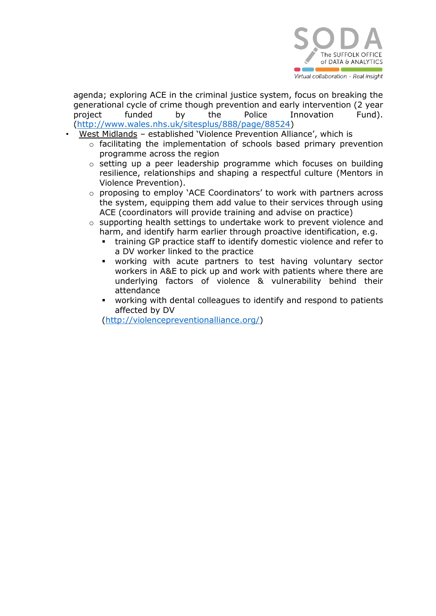

agenda; exploring ACE in the criminal justice system, focus on breaking the generational cycle of crime though prevention and early intervention (2 year project funded by the Police Innovation Fund). [\(http://www.wales.nhs.uk/sitesplus/888/page/88524\)](http://www.wales.nhs.uk/sitesplus/888/page/88524)

- West Midlands established 'Violence Prevention Alliance', which is
	- o facilitating the implementation of schools based primary prevention programme across the region
	- o setting up a peer leadership programme which focuses on building resilience, relationships and shaping a respectful culture (Mentors in Violence Prevention).
	- o proposing to employ 'ACE Coordinators' to work with partners across the system, equipping them add value to their services through using ACE (coordinators will provide training and advise on practice)
	- o supporting health settings to undertake work to prevent violence and harm, and identify harm earlier through proactive identification, e.g.
		- training GP practice staff to identify domestic violence and refer to a DV worker linked to the practice
		- working with acute partners to test having voluntary sector workers in A&E to pick up and work with patients where there are underlying factors of violence & vulnerability behind their attendance
		- working with dental colleagues to identify and respond to patients affected by DV

[\(http://violencepreventionalliance.org/\)](http://violencepreventionalliance.org/)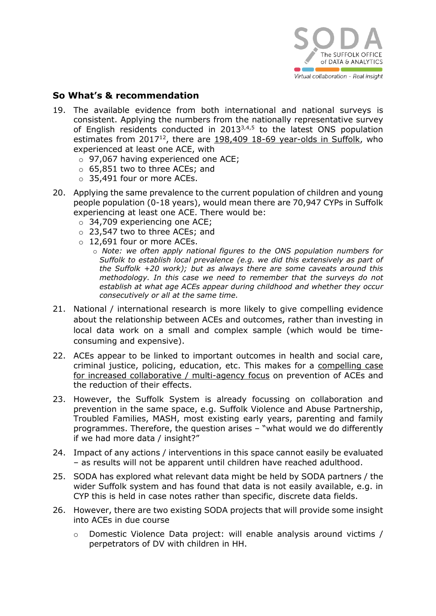

#### **So What's & recommendation**

- 19. The available evidence from both international and national surveys is consistent. Applying the numbers from the nationally representative survey of English residents conducted in 20133,4,5 to the latest ONS population estimates from 2017<sup>12</sup>, there are 198,409 18-69 year-olds in Suffolk, who experienced at least one ACE, with
	- o 97,067 having experienced one ACE;
	- o 65,851 two to three ACEs; and
	- o 35,491 four or more ACEs.
- 20. Applying the same prevalence to the current population of children and young people population (0-18 years), would mean there are 70,947 CYPs in Suffolk experiencing at least one ACE. There would be:
	- o 34,709 experiencing one ACE;
	- o 23,547 two to three ACEs; and
	- o 12,691 four or more ACEs.
		- o *Note: we often apply national figures to the ONS population numbers for Suffolk to establish local prevalence (e.g. we did this extensively as part of the Suffolk +20 work); but as always there are some caveats around this methodology. In this case we need to remember that the surveys do not establish at what age ACEs appear during childhood and whether they occur consecutively or all at the same time.*
- 21. National / international research is more likely to give compelling evidence about the relationship between ACEs and outcomes, rather than investing in local data work on a small and complex sample (which would be timeconsuming and expensive).
- 22. ACEs appear to be linked to important outcomes in health and social care, criminal justice, policing, education, etc. This makes for a compelling case for increased collaborative / multi-agency focus on prevention of ACEs and the reduction of their effects.
- 23. However, the Suffolk System is already focussing on collaboration and prevention in the same space, e.g. Suffolk Violence and Abuse Partnership, Troubled Families, MASH, most existing early years, parenting and family programmes. Therefore, the question arises – "what would we do differently if we had more data / insight?"
- 24. Impact of any actions / interventions in this space cannot easily be evaluated – as results will not be apparent until children have reached adulthood.
- 25. SODA has explored what relevant data might be held by SODA partners / the wider Suffolk system and has found that data is not easily available, e.g. in CYP this is held in case notes rather than specific, discrete data fields.
- 26. However, there are two existing SODA projects that will provide some insight into ACEs in due course
	- o Domestic Violence Data project: will enable analysis around victims / perpetrators of DV with children in HH.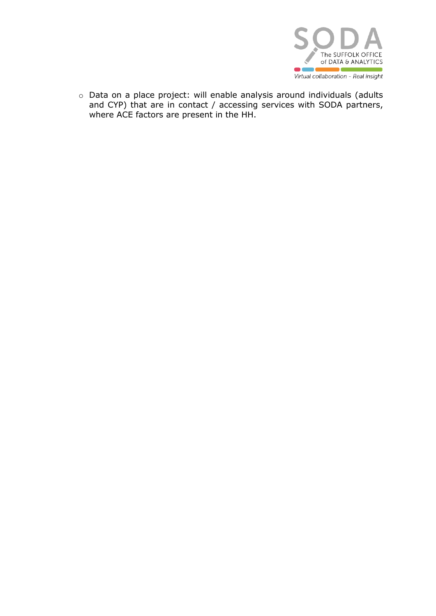

o Data on a place project: will enable analysis around individuals (adults and CYP) that are in contact / accessing services with SODA partners, where ACE factors are present in the HH.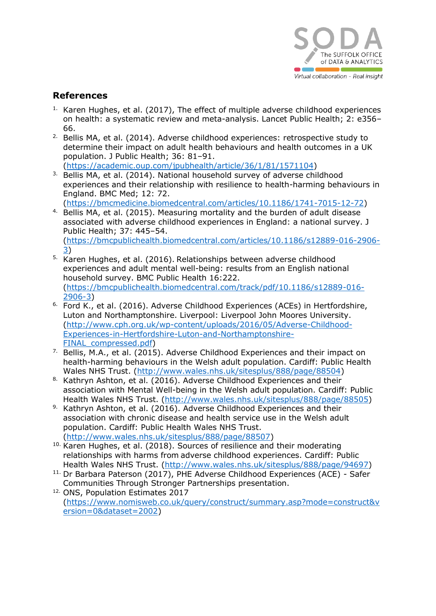

#### **References**

- $1.$  Karen Hughes, et al. (2017), The effect of multiple adverse childhood experiences on health: a systematic review and meta-analysis. Lancet Public Health; 2: e356– 66.
- <sup>2.</sup> Bellis MA, et al. (2014). Adverse childhood experiences: retrospective study to determine their impact on adult health behaviours and health outcomes in a UK population. J Public Health; 36: 81–91. [\(https://academic.oup.com/jpubhealth/article/36/1/81/1571104\)](https://academic.oup.com/jpubhealth/article/36/1/81/1571104)
- <sup>3.</sup> Bellis MA, et al. (2014). National household survey of adverse childhood experiences and their relationship with resilience to health-harming behaviours in England. BMC Med; 12: 72.

[\(https://bmcmedicine.biomedcentral.com/articles/10.1186/1741-7015-12-72\)](https://bmcmedicine.biomedcentral.com/articles/10.1186/1741-7015-12-72)

- <sup>4.</sup> Bellis MA, et al. (2015). Measuring mortality and the burden of adult disease associated with adverse childhood experiences in England: a national survey. J Public Health; 37: 445–54. [\(https://bmcpublichealth.biomedcentral.com/articles/10.1186/s12889-016-2906-](https://bmcpublichealth.biomedcentral.com/articles/10.1186/s12889-016-2906-3) [3\)](https://bmcpublichealth.biomedcentral.com/articles/10.1186/s12889-016-2906-3)
- 5. Karen Hughes, et al. (2016). Relationships between adverse childhood experiences and adult mental well-being: results from an English national household survey. BMC Public Health 16:222. [\(https://bmcpublichealth.biomedcentral.com/track/pdf/10.1186/s12889-016-](https://bmcpublichealth.biomedcentral.com/track/pdf/10.1186/s12889-016-2906-3) [2906-3\)](https://bmcpublichealth.biomedcentral.com/track/pdf/10.1186/s12889-016-2906-3)
- <sup>6.</sup> Ford K., et al. (2016). Adverse Childhood Experiences (ACEs) in Hertfordshire, Luton and Northamptonshire. Liverpool: Liverpool John Moores University. [\(http://www.cph.org.uk/wp-content/uploads/2016/05/Adverse-Childhood-](http://www.cph.org.uk/wp-content/uploads/2016/05/Adverse-Childhood-Experiences-in-Hertfordshire-Luton-and-Northamptonshire-FINAL_compressed.pdf)[Experiences-in-Hertfordshire-Luton-and-Northamptonshire-](http://www.cph.org.uk/wp-content/uploads/2016/05/Adverse-Childhood-Experiences-in-Hertfordshire-Luton-and-Northamptonshire-FINAL_compressed.pdf)FINAL compressed.pdf)
- <sup>7.</sup> Bellis, M.A., et al. (2015). Adverse Childhood Experiences and their impact on health-harming behaviours in the Welsh adult population. Cardiff: Public Health Wales NHS Trust. [\(http://www.wales.nhs.uk/sitesplus/888/page/88504\)](http://www.wales.nhs.uk/sitesplus/888/page/88504)
- 8. Kathryn Ashton, et al. (2016). Adverse Childhood Experiences and their association with Mental Well-being in the Welsh adult population. Cardiff: Public Health Wales NHS Trust. [\(http://www.wales.nhs.uk/sitesplus/888/page/88505\)](http://www.wales.nhs.uk/sitesplus/888/page/88505)
- 9. Kathryn Ashton, et al. (2016). Adverse Childhood Experiences and their association with chronic disease and health service use in the Welsh adult population. Cardiff: Public Health Wales NHS Trust. [\(http://www.wales.nhs.uk/sitesplus/888/page/88507\)](http://www.wales.nhs.uk/sitesplus/888/page/88507)
- <sup>10.</sup> Karen Hughes, et al. (2018). Sources of resilience and their moderating relationships with harms from adverse childhood experiences. Cardiff: Public Health Wales NHS Trust. [\(http://www.wales.nhs.uk/sitesplus/888/page/94697\)](http://www.wales.nhs.uk/sitesplus/888/page/94697)
- 11. Dr Barbara Paterson (2017), PHE Adverse Childhood Experiences (ACE) Safer Communities Through Stronger Partnerships presentation.
- 12. ONS, Population Estimates 2017 [\(https://www.nomisweb.co.uk/query/construct/summary.asp?mode=construct&v](https://www.nomisweb.co.uk/query/construct/summary.asp?mode=construct&version=0&dataset=2002) [ersion=0&dataset=2002\)](https://www.nomisweb.co.uk/query/construct/summary.asp?mode=construct&version=0&dataset=2002)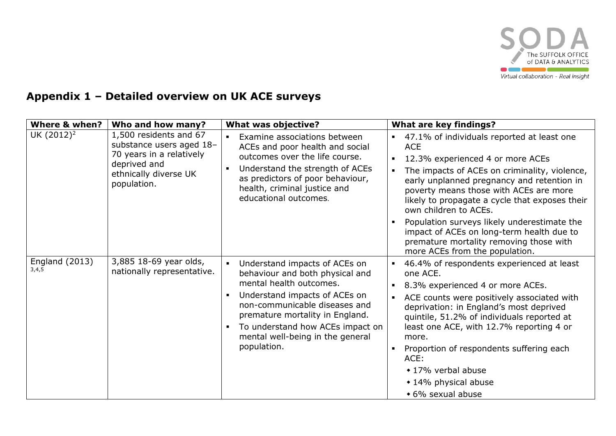

# **Appendix 1 – Detailed overview on UK ACE surveys**

| <b>Where &amp; when?</b>       | Who and how many?                                                                                                                      | <b>What was objective?</b>                                                                                                                                                                                                                                                                                          | <b>What are key findings?</b>                                                                                                                                                                                                                                                                                                                                                                                                                                                                                                                     |
|--------------------------------|----------------------------------------------------------------------------------------------------------------------------------------|---------------------------------------------------------------------------------------------------------------------------------------------------------------------------------------------------------------------------------------------------------------------------------------------------------------------|---------------------------------------------------------------------------------------------------------------------------------------------------------------------------------------------------------------------------------------------------------------------------------------------------------------------------------------------------------------------------------------------------------------------------------------------------------------------------------------------------------------------------------------------------|
| UK (2012) <sup>2</sup>         | 1,500 residents and 67<br>substance users aged 18-<br>70 years in a relatively<br>deprived and<br>ethnically diverse UK<br>population. | Examine associations between<br>$\blacksquare$<br>ACEs and poor health and social<br>outcomes over the life course.<br>Understand the strength of ACEs<br>$\blacksquare$<br>as predictors of poor behaviour,<br>health, criminal justice and<br>educational outcomes.                                               | • 47.1% of individuals reported at least one<br><b>ACE</b><br>12.3% experienced 4 or more ACEs<br>$\blacksquare$<br>The impacts of ACEs on criminality, violence,<br>$\blacksquare$<br>early unplanned pregnancy and retention in<br>poverty means those with ACEs are more<br>likely to propagate a cycle that exposes their<br>own children to ACEs.<br>Population surveys likely underestimate the<br>$\blacksquare$<br>impact of ACEs on long-term health due to<br>premature mortality removing those with<br>more ACEs from the population. |
| <b>England (2013)</b><br>3,4,5 | 3,885 18-69 year olds,<br>nationally representative.                                                                                   | Understand impacts of ACEs on<br>$\blacksquare$<br>behaviour and both physical and<br>mental health outcomes.<br>Understand impacts of ACEs on<br>п<br>non-communicable diseases and<br>premature mortality in England.<br>To understand how ACEs impact on<br>п<br>mental well-being in the general<br>population. | 46.4% of respondents experienced at least<br>$\blacksquare$<br>one ACE.<br>8.3% experienced 4 or more ACEs.<br>٠<br>ACE counts were positively associated with<br>$\blacksquare$<br>deprivation: in England's most deprived<br>quintile, 51.2% of individuals reported at<br>least one ACE, with 12.7% reporting 4 or<br>more.<br>Proportion of respondents suffering each<br>$\blacksquare$<br>ACE:<br>◆ 17% verbal abuse<br>◆ 14% physical abuse<br>◆ 6% sexual abuse                                                                           |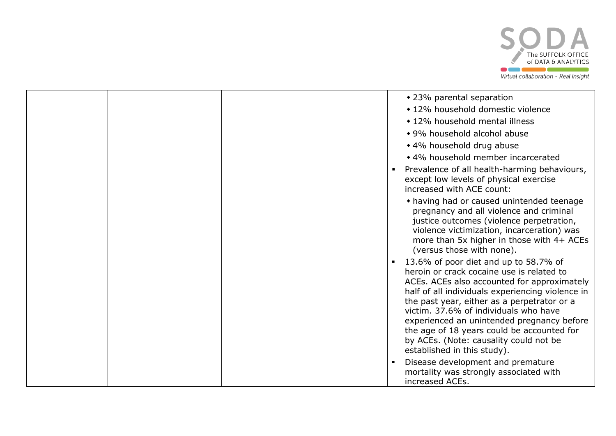

|  | • 23% parental separation                                                                                                                                                                                                                                                                                                                                                                                                                                            |
|--|----------------------------------------------------------------------------------------------------------------------------------------------------------------------------------------------------------------------------------------------------------------------------------------------------------------------------------------------------------------------------------------------------------------------------------------------------------------------|
|  | ◆ 12% household domestic violence                                                                                                                                                                                                                                                                                                                                                                                                                                    |
|  | • 12% household mental illness                                                                                                                                                                                                                                                                                                                                                                                                                                       |
|  | • 9% household alcohol abuse                                                                                                                                                                                                                                                                                                                                                                                                                                         |
|  | ◆ 4% household drug abuse                                                                                                                                                                                                                                                                                                                                                                                                                                            |
|  | • 4% household member incarcerated                                                                                                                                                                                                                                                                                                                                                                                                                                   |
|  | Prevalence of all health-harming behaviours,<br>except low levels of physical exercise<br>increased with ACE count:                                                                                                                                                                                                                                                                                                                                                  |
|  | • having had or caused unintended teenage<br>pregnancy and all violence and criminal<br>justice outcomes (violence perpetration,<br>violence victimization, incarceration) was<br>more than 5x higher in those with $4+$ ACEs<br>(versus those with none).                                                                                                                                                                                                           |
|  | 13.6% of poor diet and up to 58.7% of<br>$\blacksquare$<br>heroin or crack cocaine use is related to<br>ACEs. ACEs also accounted for approximately<br>half of all individuals experiencing violence in<br>the past year, either as a perpetrator or a<br>victim. 37.6% of individuals who have<br>experienced an unintended pregnancy before<br>the age of 18 years could be accounted for<br>by ACEs. (Note: causality could not be<br>established in this study). |
|  | Disease development and premature<br>mortality was strongly associated with<br>increased ACEs.                                                                                                                                                                                                                                                                                                                                                                       |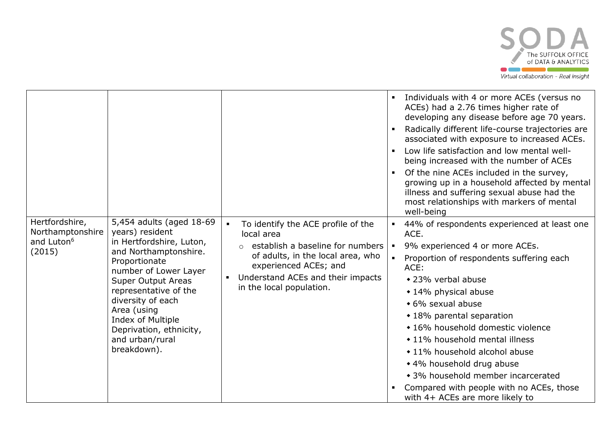

|                                                                        |                                                                                                                                                                                                                                                                                                                        |                                                                                                                                                                                                                                                                    | Individuals with 4 or more ACEs (versus no<br>$\blacksquare$<br>ACEs) had a 2.76 times higher rate of<br>developing any disease before age 70 years.<br>Radically different life-course trajectories are<br>$\blacksquare$<br>associated with exposure to increased ACEs.<br>Low life satisfaction and low mental well-<br>$\blacksquare$<br>being increased with the number of ACEs<br>Of the nine ACEs included in the survey,<br>growing up in a household affected by mental<br>illness and suffering sexual abuse had the<br>most relationships with markers of mental<br>well-being |
|------------------------------------------------------------------------|------------------------------------------------------------------------------------------------------------------------------------------------------------------------------------------------------------------------------------------------------------------------------------------------------------------------|--------------------------------------------------------------------------------------------------------------------------------------------------------------------------------------------------------------------------------------------------------------------|-------------------------------------------------------------------------------------------------------------------------------------------------------------------------------------------------------------------------------------------------------------------------------------------------------------------------------------------------------------------------------------------------------------------------------------------------------------------------------------------------------------------------------------------------------------------------------------------|
| Hertfordshire,<br>Northamptonshire<br>and Luton <sup>6</sup><br>(2015) | 5,454 adults (aged 18-69<br>years) resident<br>in Hertfordshire, Luton,<br>and Northamptonshire.<br>Proportionate<br>number of Lower Layer<br><b>Super Output Areas</b><br>representative of the<br>diversity of each<br>Area (using<br>Index of Multiple<br>Deprivation, ethnicity,<br>and urban/rural<br>breakdown). | To identify the ACE profile of the<br>$\blacksquare$<br>local area<br>establish a baseline for numbers<br>$\circ$<br>of adults, in the local area, who<br>experienced ACEs; and<br>Understand ACEs and their impacts<br>$\blacksquare$<br>in the local population. | 44% of respondents experienced at least one<br>$\blacksquare$<br>ACE.<br>9% experienced 4 or more ACEs.<br>$\blacksquare$<br>Proportion of respondents suffering each<br>ACE:<br>◆ 23% verbal abuse<br>◆ 14% physical abuse<br>• 6% sexual abuse<br>◆ 18% parental separation<br>• 16% household domestic violence<br>• 11% household mental illness<br>• 11% household alcohol abuse<br>◆ 4% household drug abuse<br>• 3% household member incarcerated<br>Compared with people with no ACEs, those<br>with 4+ ACEs are more likely to                                                   |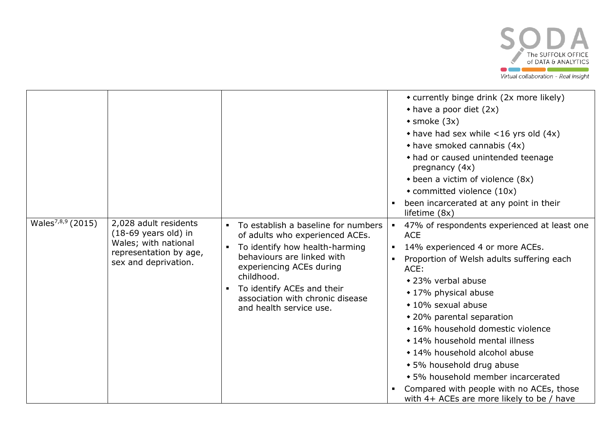

|                               |                                                                                                                                   |                                                                                                                                                                                                                                                                                                 | • currently binge drink (2x more likely)<br>$\bullet$ have a poor diet (2x)<br>$\triangleleft$ smoke (3x)<br>$\bullet$ have had sex while <16 yrs old (4x)<br>• have smoked cannabis (4x)<br>• had or caused unintended teenage<br>pregnancy (4x)<br>• been a victim of violence (8x)<br>• committed violence (10x)<br>been incarcerated at any point in their<br>lifetime (8x)                                                                                                                                                                            |
|-------------------------------|-----------------------------------------------------------------------------------------------------------------------------------|-------------------------------------------------------------------------------------------------------------------------------------------------------------------------------------------------------------------------------------------------------------------------------------------------|------------------------------------------------------------------------------------------------------------------------------------------------------------------------------------------------------------------------------------------------------------------------------------------------------------------------------------------------------------------------------------------------------------------------------------------------------------------------------------------------------------------------------------------------------------|
| Wales <sup>7,8,9</sup> (2015) | 2,028 adult residents<br>$(18-69 \text{ years old})$ in<br>Wales; with national<br>representation by age,<br>sex and deprivation. | To establish a baseline for numbers<br>of adults who experienced ACEs.<br>To identify how health-harming<br>$\blacksquare$<br>behaviours are linked with<br>experiencing ACEs during<br>childhood.<br>To identify ACEs and their<br>association with chronic disease<br>and health service use. | 47% of respondents experienced at least one<br>$\blacksquare$<br><b>ACE</b><br>14% experienced 4 or more ACEs.<br>$\blacksquare$<br>Proportion of Welsh adults suffering each<br>ACE:<br>◆ 23% verbal abuse<br>◆ 17% physical abuse<br>• 10% sexual abuse<br>◆ 20% parental separation<br>• 16% household domestic violence<br>• 14% household mental illness<br>◆ 14% household alcohol abuse<br>• 5% household drug abuse<br>• 5% household member incarcerated<br>Compared with people with no ACEs, those<br>with 4+ ACEs are more likely to be / have |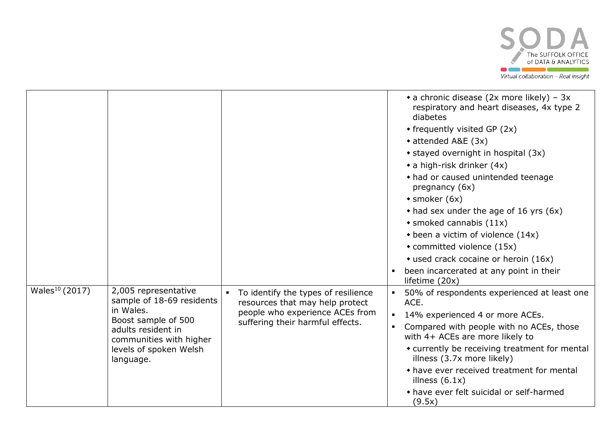

|                            |                                                                                                                                                                               |                                                                                                                                               | • a chronic disease (2x more likely) – $3x$<br>respiratory and heart diseases, 4x type 2<br>diabetes<br>$\bullet$ frequently visited GP (2x)<br>◆ attended A&E (3x)<br>• stayed overnight in hospital (3x)<br>$\bullet$ a high-risk drinker (4x)<br>• had or caused unintended teenage<br>pregnancy (6x)<br>$\bullet$ smoker (6x)<br>$\bullet$ had sex under the age of 16 yrs (6x)<br>$\bullet$ smoked cannabis (11x)<br>$\bullet$ been a victim of violence (14x)<br>• committed violence (15x)<br>• used crack cocaine or heroin (16x)<br>been incarcerated at any point in their<br>lifetime (20x) |
|----------------------------|-------------------------------------------------------------------------------------------------------------------------------------------------------------------------------|-----------------------------------------------------------------------------------------------------------------------------------------------|--------------------------------------------------------------------------------------------------------------------------------------------------------------------------------------------------------------------------------------------------------------------------------------------------------------------------------------------------------------------------------------------------------------------------------------------------------------------------------------------------------------------------------------------------------------------------------------------------------|
| Wales <sup>10</sup> (2017) | 2,005 representative<br>sample of 18-69 residents<br>in Wales.<br>Boost sample of 500<br>adults resident in<br>communities with higher<br>levels of spoken Welsh<br>language. | To identify the types of resilience<br>resources that may help protect<br>people who experience ACEs from<br>suffering their harmful effects. | 50% of respondents experienced at least one<br>ACE.<br>14% experienced 4 or more ACEs.<br>$\blacksquare$<br>Compared with people with no ACEs, those<br>$\blacksquare$<br>with 4+ ACEs are more likely to<br>• currently be receiving treatment for mental<br>illness (3.7x more likely)<br>• have ever received treatment for mental<br>illness $(6.1x)$<br>• have ever felt suicidal or self-harmed<br>(9.5x)                                                                                                                                                                                        |